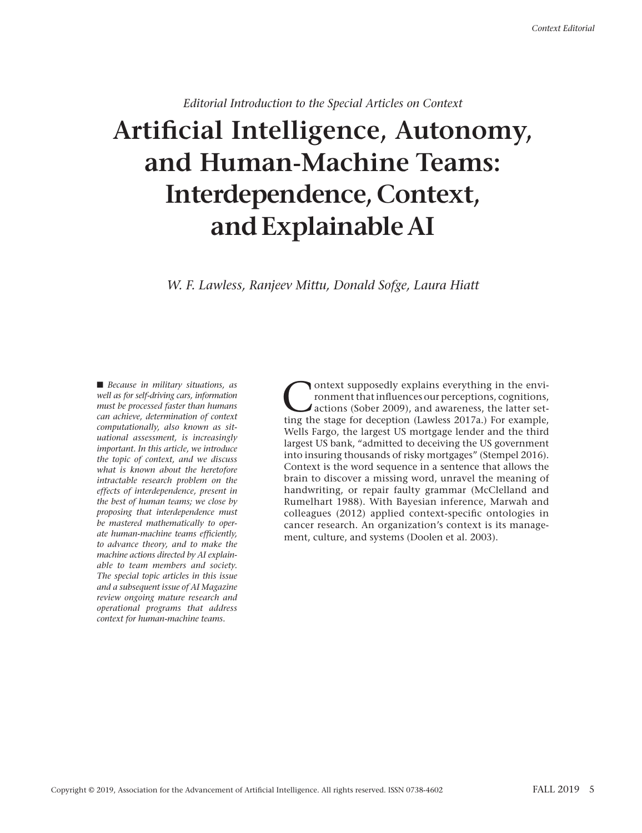*Editorial Introduction to the Special Articles on Context*

# **Artificial Intelligence, Autonomy, and Human-Machine Teams: Interdependence, Context, and Explainable AI**

*W. F. Lawless, Ranjeev Mittu, Donald Sofge, Laura Hiatt*

■ *Because in military situations, as well as for self-driving cars, information must be processed faster than humans can achieve, determination of context computationally, also known as situational assessment, is increasingly important. In this article, we introduce the topic of context, and we discuss what is known about the heretofore intractable research problem on the effects of interdependence, present in the best of human teams; we close by proposing that interdependence must be mastered mathematically to operate human-machine teams efficiently, to advance theory, and to make the machine actions directed by AI explainable to team members and society. The special topic articles in this issue and a subsequent issue of AI Magazine review ongoing mature research and operational programs that address context for human-machine teams.*

Ontext supposedly explains everything in the environment that influences our perceptions, cognitions,<br>actions (Sober 2009), and awareness, the latter set-<br>ting the stage for deception (Layless 2017a). For example ronment that influences our perceptions, cognitions, ting the stage for deception (Lawless 2017a.) For example, Wells Fargo, the largest US mortgage lender and the third largest US bank, "admitted to deceiving the US government into insuring thousands of risky mortgages" (Stempel 2016). Context is the word sequence in a sentence that allows the brain to discover a missing word, unravel the meaning of handwriting, or repair faulty grammar (McClelland and Rumelhart 1988). With Bayesian inference, Marwah and colleagues (2012) applied context-specific ontologies in cancer research. An organization's context is its management, culture, and systems (Doolen et al. 2003).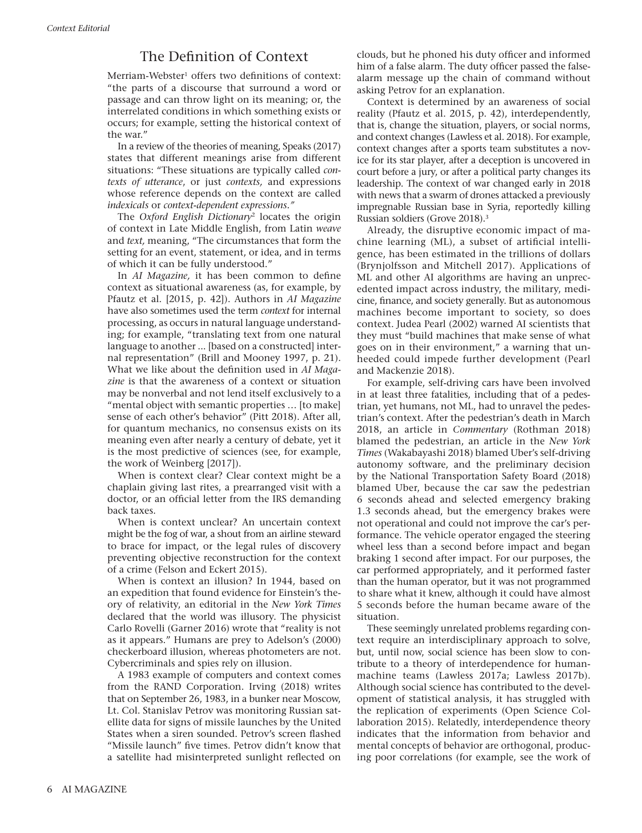# The Definition of Context

Merriam-Webster<sup>1</sup> offers two definitions of context: "the parts of a discourse that surround a word or passage and can throw light on its meaning; or, the interrelated conditions in which something exists or occurs; for example, setting the historical context of the war."

In a review of the theories of meaning, Speaks (2017) states that different meanings arise from different situations: "These situations are typically called *contexts of utterance*, or just *contexts,* and expressions whose reference depends on the context are called *indexicals* or *context-dependent expressions."*

The *Oxford English Dictionary*2 locates the origin of context in Late Middle English, from Latin *weave* and *text,* meaning, "The circumstances that form the setting for an event, statement, or idea, and in terms of which it can be fully understood."

In *AI Magazine,* it has been common to define context as situational awareness (as, for example, by Pfautz et al. [2015, p. 42]). Authors in *AI Magazine* have also sometimes used the term *context* for internal processing, as occurs in natural language understanding; for example, "translating text from one natural language to another ... [based on a constructed] internal representation" (Brill and Mooney 1997, p. 21). What we like about the definition used in *AI Magazine* is that the awareness of a context or situation may be nonverbal and not lend itself exclusively to a "mental object with semantic properties … [to make] sense of each other's behavior" (Pitt 2018). After all, for quantum mechanics, no consensus exists on its meaning even after nearly a century of debate, yet it is the most predictive of sciences (see, for example, the work of Weinberg [2017]).

When is context clear? Clear context might be a chaplain giving last rites, a prearranged visit with a doctor, or an official letter from the IRS demanding back taxes.

When is context unclear? An uncertain context might be the fog of war, a shout from an airline steward to brace for impact, or the legal rules of discovery preventing objective reconstruction for the context of a crime (Felson and Eckert 2015).

When is context an illusion? In 1944, based on an expedition that found evidence for Einstein's theory of relativity, an editorial in the *New York Times* declared that the world was illusory. The physicist Carlo Rovelli (Garner 2016) wrote that "reality is not as it appears." Humans are prey to Adelson's (2000) checkerboard illusion, whereas photometers are not. Cybercriminals and spies rely on illusion.

A 1983 example of computers and context comes from the RAND Corporation. Irving (2018) writes that on September 26, 1983, in a bunker near Moscow, Lt. Col. Stanislav Petrov was monitoring Russian satellite data for signs of missile launches by the United States when a siren sounded. Petrov's screen flashed "Missile launch" five times. Petrov didn't know that a satellite had misinterpreted sunlight reflected on clouds, but he phoned his duty officer and informed him of a false alarm. The duty officer passed the falsealarm message up the chain of command without asking Petrov for an explanation.

Context is determined by an awareness of social reality (Pfautz et al. 2015, p. 42), interdependently, that is, change the situation, players, or social norms, and context changes (Lawless et al. 2018). For example, context changes after a sports team substitutes a novice for its star player, after a deception is uncovered in court before a jury, or after a political party changes its leadership. The context of war changed early in 2018 with news that a swarm of drones attacked a previously impregnable Russian base in Syria, reportedly killing Russian soldiers (Grove 2018).3

Already, the disruptive economic impact of machine learning (ML), a subset of artificial intelligence, has been estimated in the trillions of dollars (Brynjolfsson and Mitchell 2017). Applications of ML and other AI algorithms are having an unprecedented impact across industry, the military, medicine, finance, and society generally. But as autonomous machines become important to society, so does context. Judea Pearl (2002) warned AI scientists that they must "build machines that make sense of what goes on in their environment," a warning that unheeded could impede further development (Pearl and Mackenzie 2018).

For example, self-driving cars have been involved in at least three fatalities, including that of a pedestrian, yet humans, not ML, had to unravel the pedestrian's context. After the pedestrian's death in March 2018, an article in *Commentary* (Rothman 2018) blamed the pedestrian, an article in the *New York Times* (Wakabayashi 2018) blamed Uber's self-driving autonomy software, and the preliminary decision by the National Transportation Safety Board (2018) blamed Uber, because the car saw the pedestrian 6 seconds ahead and selected emergency braking 1.3 seconds ahead, but the emergency brakes were not operational and could not improve the car's performance. The vehicle operator engaged the steering wheel less than a second before impact and began braking 1 second after impact. For our purposes, the car performed appropriately, and it performed faster than the human operator, but it was not programmed to share what it knew, although it could have almost 5 seconds before the human became aware of the situation.

These seemingly unrelated problems regarding context require an interdisciplinary approach to solve, but, until now, social science has been slow to contribute to a theory of interdependence for humanmachine teams (Lawless 2017a; Lawless 2017b). Although social science has contributed to the development of statistical analysis, it has struggled with the replication of experiments (Open Science Collaboration 2015). Relatedly, interdependence theory indicates that the information from behavior and mental concepts of behavior are orthogonal, producing poor correlations (for example, see the work of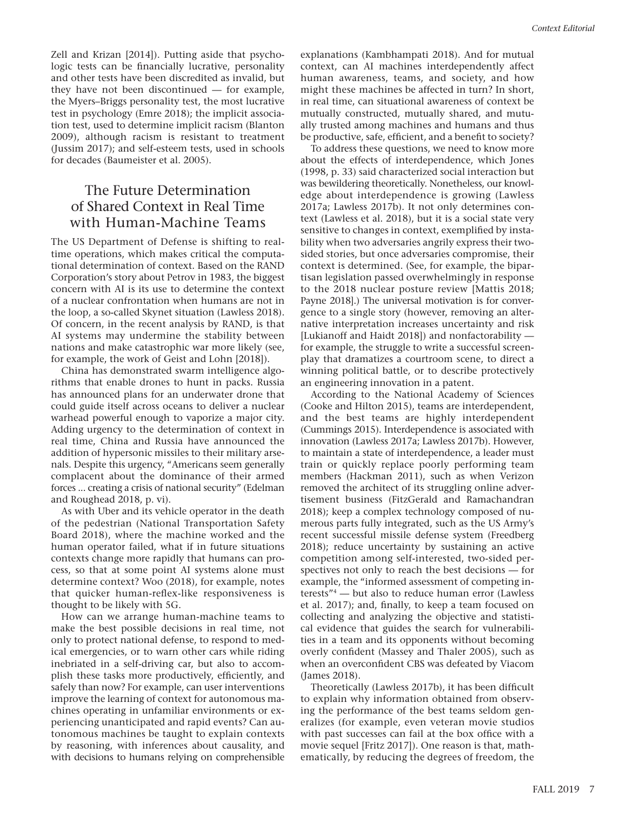Zell and Krizan [2014]). Putting aside that psychologic tests can be financially lucrative, personality and other tests have been discredited as invalid, but they have not been discontinued — for example, the Myers–Briggs personality test, the most lucrative test in psychology (Emre 2018); the implicit association test, used to determine implicit racism (Blanton 2009), although racism is resistant to treatment (Jussim 2017); and self-esteem tests, used in schools for decades (Baumeister et al. 2005).

# The Future Determination of Shared Context in Real Time with Human-Machine Teams

The US Department of Defense is shifting to realtime operations, which makes critical the computational determination of context. Based on the RAND Corporation's story about Petrov in 1983, the biggest concern with AI is its use to determine the context of a nuclear confrontation when humans are not in the loop, a so-called Skynet situation (Lawless 2018). Of concern, in the recent analysis by RAND, is that AI systems may undermine the stability between nations and make catastrophic war more likely (see, for example, the work of Geist and Lohn [2018]).

China has demonstrated swarm intelligence algorithms that enable drones to hunt in packs. Russia has announced plans for an underwater drone that could guide itself across oceans to deliver a nuclear warhead powerful enough to vaporize a major city. Adding urgency to the determination of context in real time, China and Russia have announced the addition of hypersonic missiles to their military arsenals. Despite this urgency, "Americans seem generally complacent about the dominance of their armed forces ... creating a crisis of national security" (Edelman and Roughead 2018, p. vi).

As with Uber and its vehicle operator in the death of the pedestrian (National Transportation Safety Board 2018), where the machine worked and the human operator failed, what if in future situations contexts change more rapidly that humans can process, so that at some point AI systems alone must determine context? Woo (2018), for example, notes that quicker human-reflex-like responsiveness is thought to be likely with 5G.

How can we arrange human-machine teams to make the best possible decisions in real time, not only to protect national defense, to respond to medical emergencies, or to warn other cars while riding inebriated in a self-driving car, but also to accomplish these tasks more productively, efficiently, and safely than now? For example, can user interventions improve the learning of context for autonomous machines operating in unfamiliar environments or experiencing unanticipated and rapid events? Can autonomous machines be taught to explain contexts by reasoning, with inferences about causality, and with decisions to humans relying on comprehensible

explanations (Kambhampati 2018). And for mutual context, can AI machines interdependently affect human awareness, teams, and society, and how might these machines be affected in turn? In short, in real time, can situational awareness of context be mutually constructed, mutually shared, and mutually trusted among machines and humans and thus be productive, safe, efficient, and a benefit to society?

To address these questions, we need to know more about the effects of interdependence, which Jones (1998, p. 33) said characterized social interaction but was bewildering theoretically. Nonetheless, our knowledge about interdependence is growing (Lawless 2017a; Lawless 2017b). It not only determines context (Lawless et al. 2018), but it is a social state very sensitive to changes in context, exemplified by instability when two adversaries angrily express their twosided stories, but once adversaries compromise, their context is determined. (See, for example, the bipartisan legislation passed overwhelmingly in response to the 2018 nuclear posture review [Mattis 2018; Payne 2018].) The universal motivation is for convergence to a single story (however, removing an alternative interpretation increases uncertainty and risk [Lukianoff and Haidt 2018]) and nonfactorability for example, the struggle to write a successful screenplay that dramatizes a courtroom scene, to direct a winning political battle, or to describe protectively an engineering innovation in a patent.

According to the National Academy of Sciences (Cooke and Hilton 2015), teams are interdependent, and the best teams are highly interdependent (Cummings 2015). Interdependence is associated with innovation (Lawless 2017a; Lawless 2017b). However, to maintain a state of interdependence, a leader must train or quickly replace poorly performing team members (Hackman 2011), such as when Verizon removed the architect of its struggling online advertisement business (FitzGerald and Ramachandran 2018); keep a complex technology composed of numerous parts fully integrated, such as the US Army's recent successful missile defense system (Freedberg 2018); reduce uncertainty by sustaining an active competition among self-interested, two-sided perspectives not only to reach the best decisions — for example, the "informed assessment of competing interests"4 — but also to reduce human error (Lawless et al. 2017); and, finally, to keep a team focused on collecting and analyzing the objective and statistical evidence that guides the search for vulnerabilities in a team and its opponents without becoming overly confident (Massey and Thaler 2005), such as when an overconfident CBS was defeated by Viacom (James 2018).

Theoretically (Lawless 2017b), it has been difficult to explain why information obtained from observing the performance of the best teams seldom generalizes (for example, even veteran movie studios with past successes can fail at the box office with a movie sequel [Fritz 2017]). One reason is that, mathematically, by reducing the degrees of freedom, the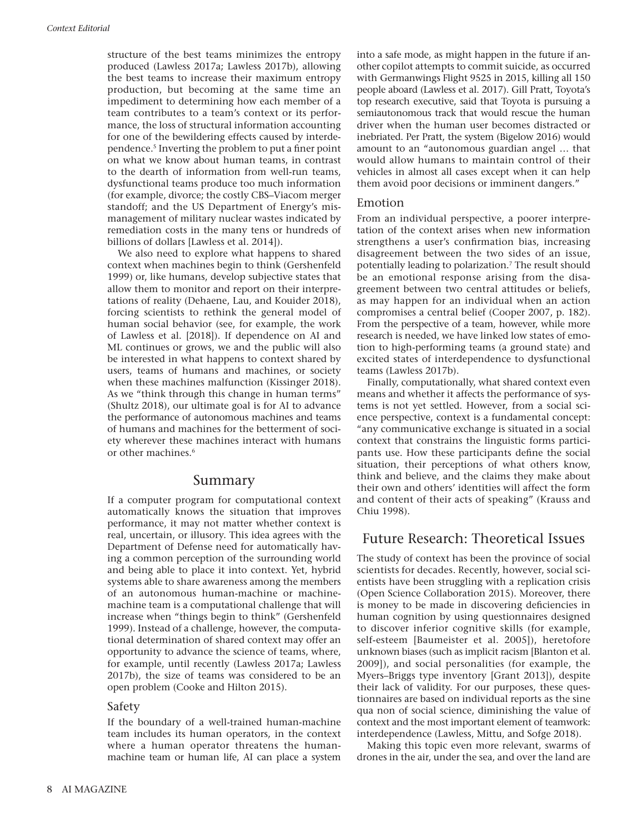structure of the best teams minimizes the entropy produced (Lawless 2017a; Lawless 2017b), allowing the best teams to increase their maximum entropy production, but becoming at the same time an impediment to determining how each member of a team contributes to a team's context or its performance, the loss of structural information accounting for one of the bewildering effects caused by interdependence.5 Inverting the problem to put a finer point on what we know about human teams, in contrast to the dearth of information from well-run teams, dysfunctional teams produce too much information (for example, divorce; the costly CBS–Viacom merger standoff; and the US Department of Energy's mismanagement of military nuclear wastes indicated by remediation costs in the many tens or hundreds of billions of dollars [Lawless et al. 2014]).

We also need to explore what happens to shared context when machines begin to think (Gershenfeld 1999) or, like humans, develop subjective states that allow them to monitor and report on their interpretations of reality (Dehaene, Lau, and Kouider 2018), forcing scientists to rethink the general model of human social behavior (see, for example, the work of Lawless et al. [2018]). If dependence on AI and ML continues or grows, we and the public will also be interested in what happens to context shared by users, teams of humans and machines, or society when these machines malfunction (Kissinger 2018). As we "think through this change in human terms" (Shultz 2018), our ultimate goal is for AI to advance the performance of autonomous machines and teams of humans and machines for the betterment of society wherever these machines interact with humans or other machines.6

### Summary

If a computer program for computational context automatically knows the situation that improves performance, it may not matter whether context is real, uncertain, or illusory. This idea agrees with the Department of Defense need for automatically having a common perception of the surrounding world and being able to place it into context. Yet, hybrid systems able to share awareness among the members of an autonomous human-machine or machinemachine team is a computational challenge that will increase when "things begin to think" (Gershenfeld 1999). Instead of a challenge, however, the computational determination of shared context may offer an opportunity to advance the science of teams, where, for example, until recently (Lawless 2017a; Lawless 2017b), the size of teams was considered to be an open problem (Cooke and Hilton 2015).

#### Safety

If the boundary of a well-trained human-machine team includes its human operators, in the context where a human operator threatens the humanmachine team or human life, AI can place a system into a safe mode, as might happen in the future if another copilot attempts to commit suicide, as occurred with Germanwings Flight 9525 in 2015, killing all 150 people aboard (Lawless et al. 2017). Gill Pratt, Toyota's top research executive, said that Toyota is pursuing a semiautonomous track that would rescue the human driver when the human user becomes distracted or inebriated. Per Pratt, the system (Bigelow 2016) would amount to an "autonomous guardian angel … that would allow humans to maintain control of their vehicles in almost all cases except when it can help them avoid poor decisions or imminent dangers."

#### Emotion

From an individual perspective, a poorer interpretation of the context arises when new information strengthens a user's confirmation bias, increasing disagreement between the two sides of an issue, potentially leading to polarization.<sup>7</sup> The result should be an emotional response arising from the disagreement between two central attitudes or beliefs, as may happen for an individual when an action compromises a central belief (Cooper 2007, p. 182). From the perspective of a team, however, while more research is needed, we have linked low states of emotion to high-performing teams (a ground state) and excited states of interdependence to dysfunctional teams (Lawless 2017b).

Finally, computationally, what shared context even means and whether it affects the performance of systems is not yet settled. However, from a social science perspective, context is a fundamental concept: "any communicative exchange is situated in a social context that constrains the linguistic forms participants use. How these participants define the social situation, their perceptions of what others know, think and believe, and the claims they make about their own and others' identities will affect the form and content of their acts of speaking" (Krauss and Chiu 1998).

## Future Research: Theoretical Issues

The study of context has been the province of social scientists for decades. Recently, however, social scientists have been struggling with a replication crisis (Open Science Collaboration 2015). Moreover, there is money to be made in discovering deficiencies in human cognition by using questionnaires designed to discover inferior cognitive skills (for example, self-esteem [Baumeister et al. 2005]), heretofore unknown biases (such as implicit racism [Blanton et al. 2009]), and social personalities (for example, the Myers–Briggs type inventory [Grant 2013]), despite their lack of validity. For our purposes, these questionnaires are based on individual reports as the sine qua non of social science, diminishing the value of context and the most important element of teamwork: interdependence (Lawless, Mittu, and Sofge 2018).

Making this topic even more relevant, swarms of drones in the air, under the sea, and over the land are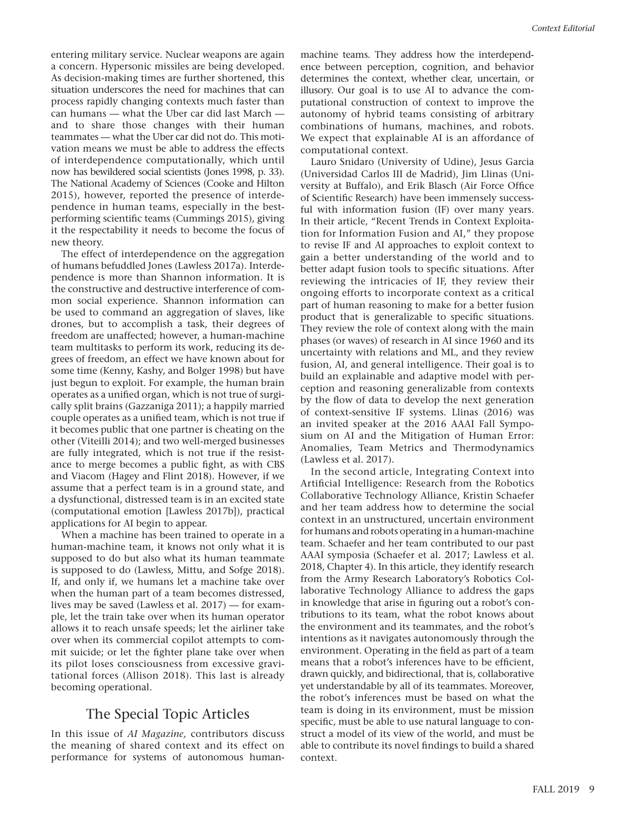entering military service. Nuclear weapons are again a concern. Hypersonic missiles are being developed. As decision-making times are further shortened, this situation underscores the need for machines that can process rapidly changing contexts much faster than can humans — what the Uber car did last March and to share those changes with their human teammates — what the Uber car did not do. This motivation means we must be able to address the effects of interdependence computationally, which until now has bewildered social scientists (Jones 1998, p. 33). The National Academy of Sciences (Cooke and Hilton 2015), however, reported the presence of interdependence in human teams, especially in the bestperforming scientific teams (Cummings 2015), giving it the respectability it needs to become the focus of new theory.

The effect of interdependence on the aggregation of humans befuddled Jones (Lawless 2017a). Interdependence is more than Shannon information. It is the constructive and destructive interference of common social experience. Shannon information can be used to command an aggregation of slaves, like drones, but to accomplish a task, their degrees of freedom are unaffected; however, a human-machine team multitasks to perform its work, reducing its degrees of freedom, an effect we have known about for some time (Kenny, Kashy, and Bolger 1998) but have just begun to exploit. For example, the human brain operates as a unified organ, which is not true of surgically split brains (Gazzaniga 2011); a happily married couple operates as a unified team, which is not true if it becomes public that one partner is cheating on the other (Viteilli 2014); and two well-merged businesses are fully integrated, which is not true if the resistance to merge becomes a public fight, as with CBS and Viacom (Hagey and Flint 2018). However, if we assume that a perfect team is in a ground state, and a dysfunctional, distressed team is in an excited state (computational emotion [Lawless 2017b]), practical applications for AI begin to appear.

When a machine has been trained to operate in a human-machine team, it knows not only what it is supposed to do but also what its human teammate is supposed to do (Lawless, Mittu, and Sofge 2018). If, and only if, we humans let a machine take over when the human part of a team becomes distressed, lives may be saved (Lawless et al. 2017) — for example, let the train take over when its human operator allows it to reach unsafe speeds; let the airliner take over when its commercial copilot attempts to commit suicide; or let the fighter plane take over when its pilot loses consciousness from excessive gravitational forces (Allison 2018). This last is already becoming operational.

## The Special Topic Articles

In this issue of *AI Magazine,* contributors discuss the meaning of shared context and its effect on performance for systems of autonomous humanmachine teams. They address how the interdependence between perception, cognition, and behavior determines the context, whether clear, uncertain, or illusory. Our goal is to use AI to advance the computational construction of context to improve the autonomy of hybrid teams consisting of arbitrary combinations of humans, machines, and robots. We expect that explainable AI is an affordance of computational context.

Lauro Snidaro (University of Udine), Jesus Garcia (Universidad Carlos III de Madrid), Jim Llinas (University at Buffalo), and Erik Blasch (Air Force Office of Scientific Research) have been immensely successful with information fusion (IF) over many years. In their article, "Recent Trends in Context Exploitation for Information Fusion and AI," they propose to revise IF and AI approaches to exploit context to gain a better understanding of the world and to better adapt fusion tools to specific situations. After reviewing the intricacies of IF, they review their ongoing efforts to incorporate context as a critical part of human reasoning to make for a better fusion product that is generalizable to specific situations. They review the role of context along with the main phases (or waves) of research in AI since 1960 and its uncertainty with relations and ML, and they review fusion, AI, and general intelligence. Their goal is to build an explainable and adaptive model with perception and reasoning generalizable from contexts by the flow of data to develop the next generation of context-sensitive IF systems. Llinas (2016) was an invited speaker at the 2016 AAAI Fall Symposium on AI and the Mitigation of Human Error: Anomalies, Team Metrics and Thermodynamics (Lawless et al. 2017).

In the second article, Integrating Context into Artificial Intelligence: Research from the Robotics Collaborative Technology Alliance, Kristin Schaefer and her team address how to determine the social context in an unstructured, uncertain environment for humans and robots operating in a human-machine team. Schaefer and her team contributed to our past AAAI symposia (Schaefer et al. 2017; Lawless et al. 2018, Chapter 4). In this article, they identify research from the Army Research Laboratory's Robotics Collaborative Technology Alliance to address the gaps in knowledge that arise in figuring out a robot's contributions to its team, what the robot knows about the environment and its teammates, and the robot's intentions as it navigates autonomously through the environment. Operating in the field as part of a team means that a robot's inferences have to be efficient, drawn quickly, and bidirectional, that is, collaborative yet understandable by all of its teammates. Moreover, the robot's inferences must be based on what the team is doing in its environment, must be mission specific, must be able to use natural language to construct a model of its view of the world, and must be able to contribute its novel findings to build a shared context.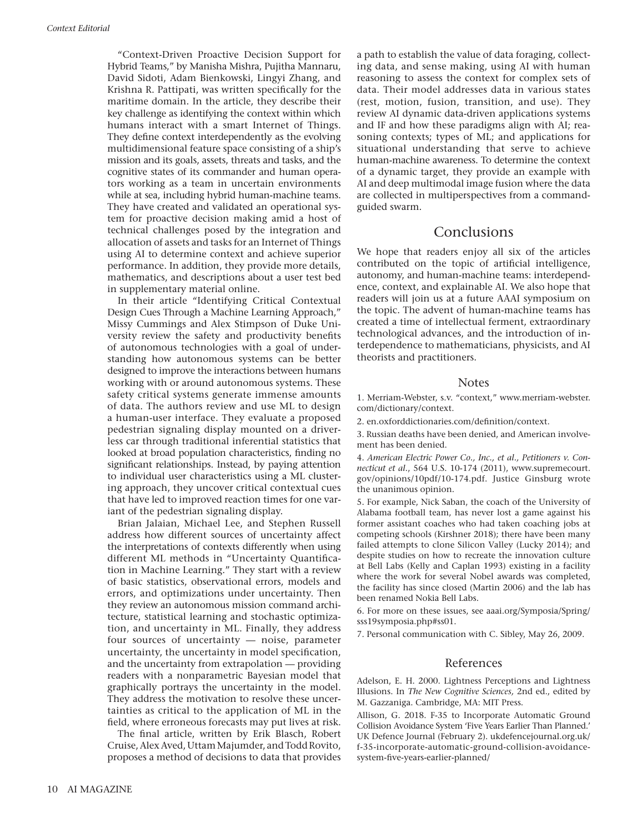"Context-Driven Proactive Decision Support for Hybrid Teams," by Manisha Mishra, Pujitha Mannaru, David Sidoti, Adam Bienkowski, Lingyi Zhang, and Krishna R. Pattipati, was written specifically for the maritime domain. In the article, they describe their key challenge as identifying the context within which humans interact with a smart Internet of Things. They define context interdependently as the evolving multidimensional feature space consisting of a ship's mission and its goals, assets, threats and tasks, and the cognitive states of its commander and human operators working as a team in uncertain environments while at sea, including hybrid human-machine teams. They have created and validated an operational system for proactive decision making amid a host of technical challenges posed by the integration and allocation of assets and tasks for an Internet of Things using AI to determine context and achieve superior performance. In addition, they provide more details, mathematics, and descriptions about a user test bed in supplementary material online.

In their article "Identifying Critical Contextual Design Cues Through a Machine Learning Approach," Missy Cummings and Alex Stimpson of Duke University review the safety and productivity benefits of autonomous technologies with a goal of understanding how autonomous systems can be better designed to improve the interactions between humans working with or around autonomous systems. These safety critical systems generate immense amounts of data. The authors review and use ML to design a human-user interface. They evaluate a proposed pedestrian signaling display mounted on a driverless car through traditional inferential statistics that looked at broad population characteristics, finding no significant relationships. Instead, by paying attention to individual user characteristics using a ML clustering approach, they uncover critical contextual cues that have led to improved reaction times for one variant of the pedestrian signaling display.

Brian Jalaian, Michael Lee, and Stephen Russell address how different sources of uncertainty affect the interpretations of contexts differently when using different ML methods in "Uncertainty Quantification in Machine Learning." They start with a review of basic statistics, observational errors, models and errors, and optimizations under uncertainty. Then they review an autonomous mission command architecture, statistical learning and stochastic optimization, and uncertainty in ML. Finally, they address four sources of uncertainty — noise, parameter uncertainty, the uncertainty in model specification, and the uncertainty from extrapolation — providing readers with a nonparametric Bayesian model that graphically portrays the uncertainty in the model. They address the motivation to resolve these uncertainties as critical to the application of ML in the field, where erroneous forecasts may put lives at risk.

The final article, written by Erik Blasch, Robert Cruise, Alex Aved, Uttam Majumder, and Todd Rovito, proposes a method of decisions to data that provides a path to establish the value of data foraging, collecting data, and sense making, using AI with human reasoning to assess the context for complex sets of data. Their model addresses data in various states (rest, motion, fusion, transition, and use). They review AI dynamic data-driven applications systems and IF and how these paradigms align with AI; reasoning contexts; types of ML; and applications for situational understanding that serve to achieve human-machine awareness. To determine the context of a dynamic target, they provide an example with AI and deep multimodal image fusion where the data are collected in multiperspectives from a commandguided swarm.

## Conclusions

We hope that readers enjoy all six of the articles contributed on the topic of artificial intelligence, autonomy, and human-machine teams: interdependence, context, and explainable AI. We also hope that readers will join us at a future AAAI symposium on the topic. The advent of human-machine teams has created a time of intellectual ferment, extraordinary technological advances, and the introduction of interdependence to mathematicians, physicists, and AI theorists and practitioners.

#### **Notes**

1. Merriam*-*Webster, s.v. "context," www.merriam-webster. com/dictionary/context.

2. en.oxforddictionaries.com/definition/context.

3. Russian deaths have been denied, and American involvement has been denied.

4. *American Electric Power Co., Inc., et al., Petitioners v. Connecticut et al.*, 564 U.S. 10-174 (2011), www.supremecourt. gov/opinions/10pdf/10-174.pdf. Justice Ginsburg wrote the unanimous opinion.

5. For example, Nick Saban, the coach of the University of Alabama football team, has never lost a game against his former assistant coaches who had taken coaching jobs at competing schools (Kirshner 2018); there have been many failed attempts to clone Silicon Valley (Lucky 2014); and despite studies on how to recreate the innovation culture at Bell Labs (Kelly and Caplan 1993) existing in a facility where the work for several Nobel awards was completed, the facility has since closed (Martin 2006) and the lab has been renamed Nokia Bell Labs.

6. For more on these issues, see aaai.org/Symposia/Spring/ sss19symposia.php#ss01.

7. Personal communication with C. Sibley, May 26, 2009.

#### References

Adelson, E. H. 2000. Lightness Perceptions and Lightness Illusions. In *The New Cognitive Sciences,* 2nd ed., edited by M. Gazzaniga. Cambridge, MA: MIT Press.

Allison, G. 2018. F-35 to Incorporate Automatic Ground Collision Avoidance System 'Five Years Earlier Than Planned.' UK Defence Journal (February 2). ukdefencejournal.org.uk/ f-35-incorporate-automatic-ground-collision-avoidancesystem-five-years-earlier-planned/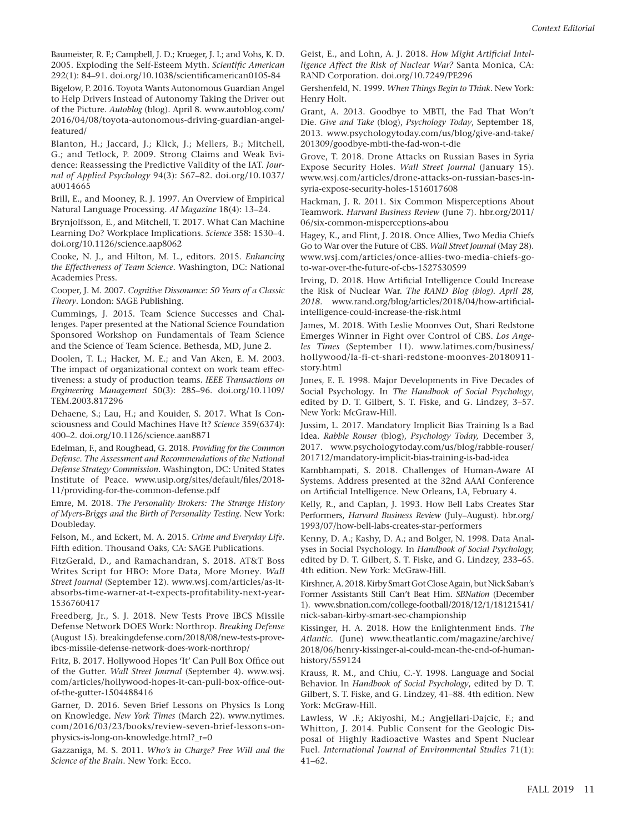Baumeister, R. F.; Campbell, J. D.; Krueger, J. I.; and Vohs, K. D. 2005. Exploding the Self-Esteem Myth. *Scientific American* 292(1): 84–91. doi.org/10.1038/scientificamerican0105-84

Bigelow, P. 2016. Toyota Wants Autonomous Guardian Angel to Help Drivers Instead of Autonomy Taking the Driver out of the Picture. *Autoblog* (blog). April 8. www.autoblog.com/ 2016/04/08/toyota-autonomous-driving-guardian-angelfeatured/

Blanton, H.; Jaccard, J.; Klick, J.; Mellers, B.; Mitchell, G.; and Tetlock, P. 2009. Strong Claims and Weak Evidence: Reassessing the Predictive Validity of the IAT. *Journal of Applied Psychology* 94(3): 567–82. doi.org/10.1037/ a0014665

Brill, E., and Mooney, R. J. 1997. An Overview of Empirical Natural Language Processing. *AI Magazine* 18(4): 13–24.

Brynjolfsson, E., and Mitchell, T. 2017. What Can Machine Learning Do? Workplace Implications. *Science* 358: 1530–4. doi.org/10.1126/science.aap8062

Cooke, N. J., and Hilton, M. L., editors. 2015. *Enhancing the Effectiveness of Team Science*. Washington, DC: National Academies Press.

Cooper, J. M. 2007. *Cognitive Dissonance: 50 Years of a Classic Theory*. London: SAGE Publishing.

Cummings, J. 2015. Team Science Successes and Challenges. Paper presented at the National Science Foundation Sponsored Workshop on Fundamentals of Team Science and the Science of Team Science. Bethesda, MD, June 2.

Doolen, T. L.; Hacker, M. E.; and Van Aken, E. M. 2003. The impact of organizational context on work team effectiveness: a study of production teams. *IEEE Transactions on Engineering Management* 50(3): 285–96. doi.org/10.1109/ TEM.2003.817296

Dehaene, S.; Lau, H.; and Kouider, S. 2017. What Is Consciousness and Could Machines Have It? *Science* 359(6374): 400–2. doi.org/10.1126/science.aan8871

Edelman, F., and Roughead, G. 2018. *Providing for the Common Defense. The Assessment and Recommendations of the National Defense Strategy Commission*. Washington, DC: United States Institute of Peace. www.usip.org/sites/default/files/2018- 11/providing-for-the-common-defense.pdf

Emre, M. 2018. *The Personality Brokers: The Strange History of Myers-Briggs and the Birth of Personality Testing*. New York: Doubleday.

Felson, M., and Eckert, M. A. 2015. *Crime and Everyday Life*. Fifth edition. Thousand Oaks, CA: SAGE Publications.

FitzGerald, D., and Ramachandran, S. 2018. AT&T Boss Writes Script for HBO: More Data, More Money. *Wall Street Journal* (September 12). www.wsj.com/articles/as-itabsorbs-time-warner-at-t-expects-profitability-next-year-1536760417

Freedberg, Jr., S. J. 2018. New Tests Prove IBCS Missile Defense Network DOES Work: Northrop. *Breaking Defense* (August 15). breakingdefense.com/2018/08/new-tests-proveibcs-missile-defense-network-does-work-northrop/

Fritz, B. 2017. Hollywood Hopes 'It' Can Pull Box Office out of the Gutter. *Wall Street Journal* (September 4). www.wsj. com/articles/hollywood-hopes-it-can-pull-box-office-outof-the-gutter-1504488416

Garner, D. 2016. Seven Brief Lessons on Physics Is Long on Knowledge. *New York Times* (March 22). www.nytimes. com/2016/03/23/books/review-seven-brief-lessons-onphysics-is-long-on-knowledge.html?\_r=0

Gazzaniga, M. S. 2011. *Who's in Charge? Free Will and the Science of the Brain*. New York: Ecco.

Geist, E., and Lohn, A. J. 2018. *How Might Artificial Intelligence Affect the Risk of Nuclear War?* Santa Monica, CA: RAND Corporation. doi.org/10.7249/PE296

Gershenfeld, N. 1999. *When Things Begin to Think*. New York: Henry Holt.

Grant, A. 2013. Goodbye to MBTI, the Fad That Won't Die. *Give and Take* (blog), *Psychology Today*, September 18, 2013. www.psychologytoday.com/us/blog/give-and-take/ 201309/goodbye-mbti-the-fad-won-t-die

Grove, T. 2018. Drone Attacks on Russian Bases in Syria Expose Security Holes. *Wall Street Journal* (January 15). www.wsj.com/articles/drone-attacks-on-russian-bases-insyria-expose-security-holes-1516017608

Hackman, J. R. 2011. Six Common Misperceptions About Teamwork. *Harvard Business Review* (June 7). hbr.org/2011/ 06/six-common-misperceptions-abou

Hagey, K., and Flint, J. 2018. Once Allies, Two Media Chiefs Go to War over the Future of CBS. *Wall Street Journal* (May 28). www.wsj.com/articles/once-allies-two-media-chiefs-goto-war-over-the-future-of-cbs-1527530599

Irving, D. 2018. How Artificial Intelligence Could Increase the Risk of Nuclear War. *The RAND Blog (blog). April 28, 2018.* www.rand.org/blog/articles/2018/04/how-artificialintelligence-could-increase-the-risk.html

James, M. 2018. With Leslie Moonves Out, Shari Redstone Emerges Winner in Fight over Control of CBS. *Los Angeles Times* (September 11). www.latimes.com/business/ hollywood/la-fi-ct-shari-redstone-moonves-20180911 story.html

Jones, E. E. 1998. Major Developments in Five Decades of Social Psychology. In *The Handbook of Social Psychology*, edited by D. T. Gilbert, S. T. Fiske, and G. Lindzey, 3–57. New York: McGraw-Hill.

Jussim, L. 2017. Mandatory Implicit Bias Training Is a Bad Idea. *Rabble Rouser* (blog), *Psychology Today,* December 3, 2017. www.psychologytoday.com/us/blog/rabble-rouser/ 201712/mandatory-implicit-bias-training-is-bad-idea

Kambhampati, S. 2018. Challenges of Human-Aware AI Systems. Address presented at the 32nd AAAI Conference on Artificial Intelligence. New Orleans, LA, February 4.

Kelly, R., and Caplan, J. 1993. How Bell Labs Creates Star Performers, *Harvard Business Review* (July–August). hbr.org/ 1993/07/how-bell-labs-creates-star-performers

Kenny, D. A.; Kashy, D. A.; and Bolger, N. 1998. Data Analyses in Social Psychology. In *Handbook of Social Psychology,*  edited by D. T. Gilbert, S. T. Fiske, and G. Lindzey, 233–65. 4th edition. New York: McGraw-Hill.

Kirshner, A. 2018. Kirby Smart Got Close Again, but Nick Saban's Former Assistants Still Can't Beat Him. *SBNation* (December 1). www.sbnation.com/college-football/2018/12/1/18121541/ nick-saban-kirby-smart-sec-championship

Kissinger, H. A. 2018. How the Enlightenment Ends. *The Atlantic.* (June) www.theatlantic.com/magazine/archive/ 2018/06/henry-kissinger-ai-could-mean-the-end-of-humanhistory/559124

Krauss, R. M., and Chiu, C.-Y. 1998. Language and Social Behavior. In *Handbook of Social Psychology*, edited by D. T. Gilbert, S. T. Fiske, and G. Lindzey, 41–88. 4th edition. New York: McGraw-Hill.

Lawless, W .F.; Akiyoshi, M.; Angjellari-Dajcic, F.; and Whitton, J. 2014. Public Consent for the Geologic Disposal of Highly Radioactive Wastes and Spent Nuclear Fuel. *International Journal of Environmental Studies* 71(1): 41–62.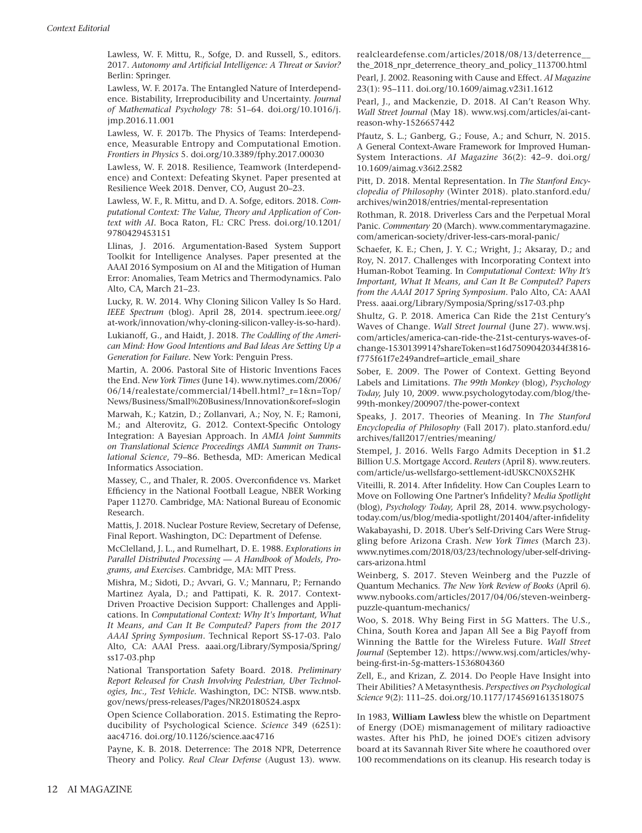Lawless, W. F. Mittu, R., Sofge, D. and Russell, S., editors. 2017. *Autonomy and Artificial Intelligence: A Threat or Savior?* Berlin: Springer.

Lawless, W. F. 2017a. The Entangled Nature of Interdependence. Bistability, Irreproducibility and Uncertainty. *Journal of Mathematical Psychology* 78: 51–64. doi.org/10.1016/j. jmp.2016.11.001

Lawless, W. F. 2017b. The Physics of Teams: Interdependence, Measurable Entropy and Computational Emotion. *Frontiers in Physics* 5. doi.org/10.3389/fphy.2017.00030

Lawless, W. F. 2018. Resilience, Teamwork (Interdependence) and Context: Defeating Skynet. Paper presented at Resilience Week 2018. Denver, CO, August 20–23.

Lawless, W. F., R. Mittu, and D. A. Sofge, editors. 2018. *Computational Context: The Value, Theory and Application of Context with AI*. Boca Raton, FL: CRC Press. doi.org/10.1201/ 9780429453151

Llinas, J. 2016. Argumentation-Based System Support Toolkit for Intelligence Analyses. Paper presented at the AAAI 2016 Symposium on AI and the Mitigation of Human Error: Anomalies, Team Metrics and Thermodynamics. Palo Alto, CA, March 21–23.

Lucky, R. W. 2014. Why Cloning Silicon Valley Is So Hard. *IEEE Spectrum* (blog). April 28, 2014. spectrum.ieee.org/ at-work/innovation/why-cloning-silicon-valley-is-so-hard).

Lukianoff, G., and Haidt, J. 2018. *The Coddling of the American Mind: How Good Intentions and Bad Ideas Are Setting Up a Generation for Failure*. New York: Penguin Press.

Martin, A. 2006. Pastoral Site of Historic Inventions Faces the End. *New York Times* (June 14). www.nytimes.com/2006/ 06/14/realestate/commercial/14bell.html?\_r=1&n=Top/ News/Business/Small%20Business/Innovation&oref=slogin

Marwah, K.; Katzin, D.; Zollanvari, A.; Noy, N. F.; Ramoni, M.; and Alterovitz, G. 2012. Context-Specific Ontology Integration: A Bayesian Approach. In *AMIA Joint Summits on Translational Science Proceedings AMIA Summit on Translational Science*, 79–86. Bethesda, MD: American Medical Informatics Association.

Massey, C., and Thaler, R. 2005. Overconfidence vs. Market Efficiency in the National Football League, NBER Working Paper 11270. Cambridge, MA: National Bureau of Economic Research.

Mattis, J. 2018. Nuclear Posture Review, Secretary of Defense. Final Report. Washington, DC: Department of Defense.

McClelland, J. L., and Rumelhart, D. E. 1988. *Explorations in Parallel Distributed Processing — A Handbook of Models, Programs, and Exercises*. Cambridge, MA: MIT Press.

Mishra, M.; Sidoti, D.; Avvari, G. V.; Mannaru, P.; Fernando Martinez Ayala, D.; and Pattipati, K. R. 2017. Context-Driven Proactive Decision Support: Challenges and Applications. In *Computational Context: Why It's Important, What It Means, and Can It Be Computed? Papers from the 2017 AAAI Spring Symposium*. Technical Report SS-17-03. Palo Alto, CA: AAAI Press. aaai.org/Library/Symposia/Spring/ ss17-03.php

National Transportation Safety Board. 2018. *Preliminary Report Released for Crash Involving Pedestrian, Uber Technologies, Inc., Test Vehicle.* Washington, DC: NTSB. www.ntsb. gov/news/press-releases/Pages/NR20180524.aspx

Open Science Collaboration. 2015. Estimating the Reproducibility of Psychological Science. *Science* 349 (6251): aac4716. doi.org/10.1126/science.aac4716

Payne, K. B. 2018. Deterrence: The 2018 NPR, Deterrence Theory and Policy. *Real Clear Defense* (August 13). www. realcleardefense.com/articles/2018/08/13/deterrence\_\_ the\_2018\_npr\_deterrence\_theory\_and\_policy\_113700.html

Pearl, J. 2002. Reasoning with Cause and Effect. *AI Magazine* 23(1): 95–111. doi.org/10.1609/aimag.v23i1.1612

Pearl, J., and Mackenzie, D. 2018. AI Can't Reason Why. *Wall Street Journal* (May 18). www.wsj.com/articles/ai-cantreason-why-1526657442

Pfautz, S. L.; Ganberg, G.; Fouse, A.; and Schurr, N. 2015. A General Context-Aware Framework for Improved Human-System Interactions. *AI Magazine* 36(2): 42–9. doi.org/ 10.1609/aimag.v36i2.2582

Pitt, D. 2018. Mental Representation. In *The Stanford Encyclopedia of Philosophy* (Winter 2018). plato.stanford.edu/ archives/win2018/entries/mental-representation

Rothman, R. 2018. Driverless Cars and the Perpetual Moral Panic. *Commentary* 20 (March). www.commentarymagazine. com/american-society/driver-less-cars-moral-panic/

Schaefer, K. E.; Chen, J. Y. C.; Wright, J.; Aksaray, D.; and Roy, N. 2017. Challenges with Incorporating Context into Human-Robot Teaming. In *Computational Context: Why It's Important, What It Means, and Can It Be Computed? Papers from the AAAI 2017 Spring Symposium*. Palo Alto, CA: AAAI Press. aaai.org/Library/Symposia/Spring/ss17-03.php

Shultz, G. P. 2018. America Can Ride the 21st Century's Waves of Change. *Wall Street Journal* (June 27). www.wsj. com/articles/america-can-ride-the-21st-centurys-waves-ofchange-1530139914?shareToken=st16d75090420344f3816 f775f61f7e249andref=article\_email\_share

Sober, E. 2009. The Power of Context. Getting Beyond Labels and Limitations. *The 99th Monkey* (blog), *Psychology Today,* July 10, 2009. www.psychologytoday.com/blog/the-99th-monkey/200907/the-power-context

Speaks, J. 2017. Theories of Meaning. In *The Stanford Encyclopedia of Philosophy* (Fall 2017). plato.stanford.edu/ archives/fall2017/entries/meaning/

Stempel, J. 2016. Wells Fargo Admits Deception in \$1.2 Billion U.S. Mortgage Accord. *Reuters* (April 8). www.reuters. com/article/us-wellsfargo-settlement-idUSKCN0X52HK

Viteilli, R. 2014. After Infidelity. How Can Couples Learn to Move on Following One Partner's Infidelity? *Media Spotlight* (blog), *Psychology Today,* April 28, 2014. www.psychologytoday.com/us/blog/media-spotlight/201404/after-infidelity Wakabayashi, D. 2018. Uber's Self-Driving Cars Were Struggling before Arizona Crash. *New York Times* (March 23). www.nytimes.com/2018/03/23/technology/uber-self-drivingcars-arizona.html

Weinberg, S. 2017. Steven Weinberg and the Puzzle of Quantum Mechanics. *The New York Review of Books* (April 6). www.nybooks.com/articles/2017/04/06/steven-weinbergpuzzle-quantum-mechanics/

Woo, S. 2018. Why Being First in 5G Matters. The U.S., China, South Korea and Japan All See a Big Payoff from Winning the Battle for the Wireless Future. *Wall Street Journal* (September 12). https://www.wsj.com/articles/whybeing-first-in-5g-matters-1536804360

Zell, E., and Krizan, Z. 2014. Do People Have Insight into Their Abilities? A Metasynthesis. *Perspectives on Psychological Science* 9(2): 111–25. doi.org/10.1177/1745691613518075

In 1983, **William Lawless** blew the whistle on Department of Energy (DOE) mismanagement of military radioactive wastes. After his PhD, he joined DOE's citizen advisory board at its Savannah River Site where he coauthored over 100 recommendations on its cleanup. His research today is